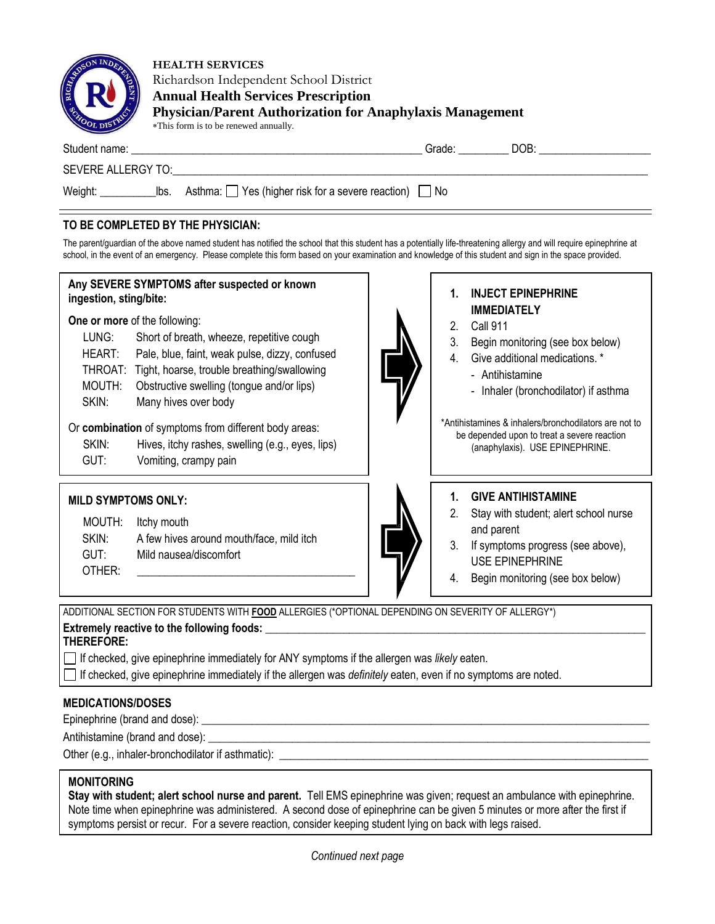| <b>OSON INDEA</b><br><b>SUGHAR</b><br>$\mathbf{S}$ | <b>HEALTH SERVICES</b><br>Richardson Independent School District<br><b>Annual Health Services Prescription</b><br><b>Physician/Parent Authorization for Anaphylaxis Management</b><br>*This form is to be renewed annually.                     |  |  |  |  |  |
|----------------------------------------------------|-------------------------------------------------------------------------------------------------------------------------------------------------------------------------------------------------------------------------------------------------|--|--|--|--|--|
|                                                    | Student name: The contract of the contract of the contract of the contract of the contract of the contract of the contract of the contract of the contract of the contract of the contract of the contract of the contract of<br>DOB:<br>Grade: |  |  |  |  |  |
|                                                    | SEVERE ALLERGY TO: SEVERE ALLERGY TO:                                                                                                                                                                                                           |  |  |  |  |  |
| Weight:                                            | Asthma: $\Box$ Yes (higher risk for a severe reaction) $\Box$ No<br>lbs.                                                                                                                                                                        |  |  |  |  |  |

## **TO BE COMPLETED BY THE PHYSICIAN:**

The parent/guardian of the above named student has notified the school that this student has a potentially life-threatening allergy and will require epinephrine at school, in the event of an emergency. Please complete this form based on your examination and knowledge of this student and sign in the space provided.



**THEREFORE:** 

If checked, give epinephrine immediately for ANY symptoms if the allergen was *likely* eaten.

If checked, give epinephrine immediately if the allergen was *definitely* eaten, even if no symptoms are noted.

# **MEDICATIONS/DOSES**

Epinephrine (brand and dose):

Antihistamine (brand and dose): \_

Other (e.g., inhaler-bronchodilator if asthmatic):

## **MONITORING**

**Stay with student; alert school nurse and parent.** Tell EMS epinephrine was given; request an ambulance with epinephrine. Note time when epinephrine was administered. A second dose of epinephrine can be given 5 minutes or more after the first if symptoms persist or recur. For a severe reaction, consider keeping student lying on back with legs raised.